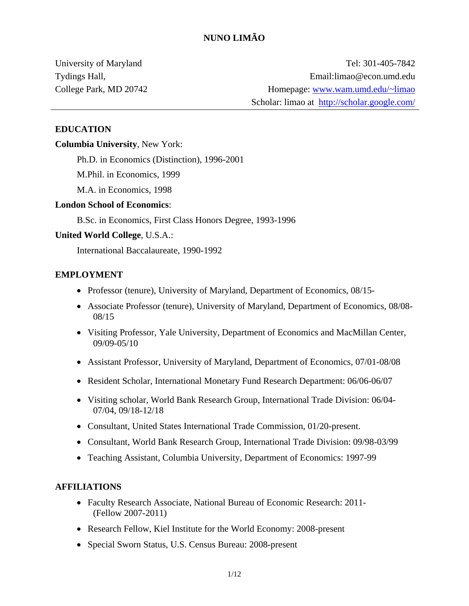University of Maryland Tydings Hall, College Park, MD 20742

Tel: 301-405-7842 Email:limao@econ.umd.edu Homepage: [www.wam.umd.edu/~limao](http://www.wam.umd.edu/%7Elimao) Scholar: limao at <http://scholar.google.com/>

#### **EDUCATION**

#### **Columbia University**, New York:

Ph.D. in Economics (Distinction), 1996-2001

M.Phil. in Economics, 1999

M.A. in Economics, 1998

#### **London School of Economics**:

B.Sc. in Economics, First Class Honors Degree, 1993-1996

#### **United World College**, U.S.A.:

International Baccalaureate, 1990-1992

#### **EMPLOYMENT**

- Professor (tenure), University of Maryland, Department of Economics, 08/15-
- Associate Professor (tenure), University of Maryland, Department of Economics, 08/08- 08/15
- Visiting Professor, Yale University, Department of Economics and MacMillan Center, 09/09-05/10
- Assistant Professor, University of Maryland, Department of Economics, 07/01-08/08
- Resident Scholar, International Monetary Fund Research Department: 06/06-06/07
- Visiting scholar, World Bank Research Group, International Trade Division: 06/04- 07/04, 09/18-12/18
- Consultant, United States International Trade Commission, 01/20-present.
- Consultant, World Bank Research Group, International Trade Division: 09/98-03/99
- Teaching Assistant, Columbia University, Department of Economics: 1997-99

#### **AFFILIATIONS**

- Faculty Research Associate, National Bureau of Economic Research: 2011- (Fellow 2007-2011)
- Research Fellow, Kiel Institute for the World Economy: 2008-present
- Special Sworn Status, U.S. Census Bureau: 2008-present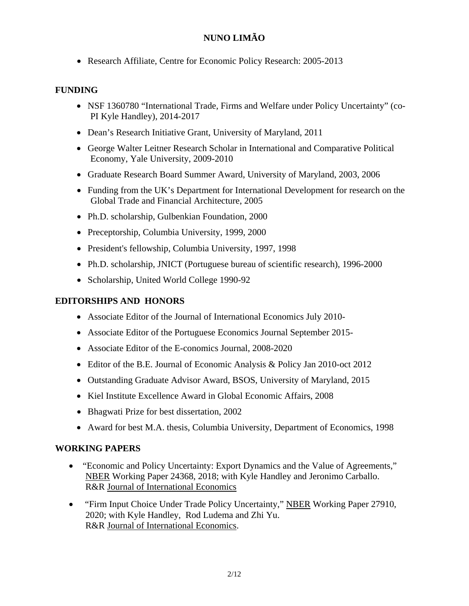• Research Affiliate, Centre for Economic Policy Research: 2005-2013

### **FUNDING**

- NSF 1360780 "International Trade, Firms and Welfare under Policy Uncertainty" (co-PI Kyle Handley), 2014-2017
- Dean's Research Initiative Grant, University of Maryland, 2011
- George Walter Leitner Research Scholar in International and Comparative Political Economy, Yale University, 2009-2010
- Graduate Research Board Summer Award, University of Maryland, 2003, 2006
- Funding from the UK's Department for International Development for research on the Global Trade and Financial Architecture, 2005
- Ph.D. scholarship, Gulbenkian Foundation, 2000
- Preceptorship, Columbia University, 1999, 2000
- President's fellowship, Columbia University, 1997, 1998
- Ph.D. scholarship, JNICT (Portuguese bureau of scientific research), 1996-2000
- Scholarship, United World College 1990-92

## **EDITORSHIPS AND HONORS**

- Associate Editor of the Journal of International Economics July 2010-
- Associate Editor of the Portuguese Economics Journal September 2015-
- Associate Editor of the E-conomics Journal, 2008-2020
- Editor of the B.E. Journal of Economic Analysis & Policy Jan 2010-oct 2012
- Outstanding Graduate Advisor Award, BSOS, University of Maryland, 2015
- Kiel Institute Excellence Award in Global Economic Affairs, 2008
- Bhagwati Prize for best dissertation, 2002
- Award for best M.A. thesis, Columbia University, Department of Economics, 1998

### **WORKING PAPERS**

- ["Economic and Policy Uncertainty: Export Dynamics and the Value of Agreements,](http://www.wam.umd.edu/%7Elimao/w24368.pdf)" NBER Working Paper 24368, 2018; with Kyle Handley and Jeronimo Carballo. R&R Journal of International Economics
- "Firm Input Choice Under Trade Policy Uncertainty," NBER Working Paper 27910, 2020; with Kyle Handley, Rod Ludema and Zhi Yu. R&R Journal of International Economics.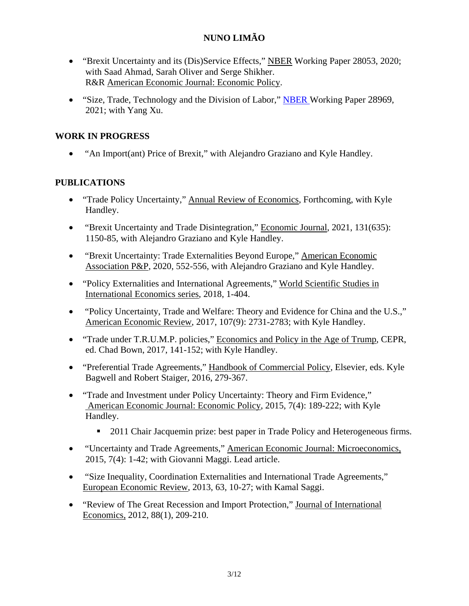- "Brexit Uncertainty and its (Dis)Service Effects," NBER Working Paper 28053, 2020; with Saad Ahmad, Sarah Oliver and Serge Shikher. R&R American Economic Journal: Economic Policy.
- "Size, Trade, Technology and the Division of Labor," [NBER W](https://www.nber.org/system/files/working_papers/w28969/w28969.pdf)orking Paper 28969, 2021; with Yang Xu.

## **WORK IN PROGRESS**

• "An Import(ant) Price of Brexit," with Alejandro Graziano and Kyle Handley.

### **PUBLICATIONS**

- "Trade Policy Uncertainty," Annual Review of Economics, Forthcoming, with Kyle Handley.
- "Brexit Uncertainty and Trade Disintegration," Economic Journal, 2021, 131(635): 1150-85, with Alejandro Graziano and Kyle Handley.
- "Brexit Uncertainty: Trade Externalities Beyond Europe," American Economic Association P&P, 2020, 552-556, with Alejandro Graziano and Kyle Handley.
- "Policy Externalities and International Agreements," [World Scientific Studies in](https://www.worldscientific.com/worldscibooks/10.1142/10234)  [International Economics series,](https://www.worldscientific.com/worldscibooks/10.1142/10234) 2018, 1-404.
- "Policy Uncertainty, Trade and Welfare: Theory and Evidence for China and the U.S.," American Economic Review, 2017, 107(9): 2731-2783; with Kyle Handley.
- "Trade under T.R.U.M.P. policies," Economics and Policy in the Age of Trump, CEPR, ed. Chad Bown, 2017, 141-152; with Kyle Handley.
- "Preferential Trade Agreements," Handbook of Commercial Policy, Elsevier, eds. Kyle Bagwell and Robert Staiger, 2016, 279-367.
- "Trade and Investment under Policy Uncertainty: Theory and Firm Evidence," American Economic Journal: Economic Policy, 2015, 7(4): 189-222; with Kyle Handley.
	- <sup>2011</sup> Chair Jacquemin prize: best paper in Trade Policy and Heterogeneous firms.
- "Uncertainty and Trade Agreements," American Economic Journal: Microeconomics, 2015, 7(4): 1-42; with Giovanni Maggi. Lead article.
- "Size Inequality, Coordination Externalities and International Trade Agreements," European Economic Review, 2013, 63, 10-27; with Kamal Saggi.
- "Review of The Great Recession and Import Protection," Journal of International Economics, 2012, 88(1), 209-210.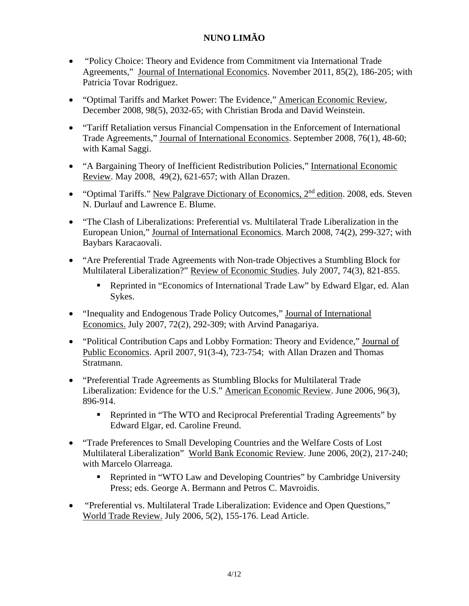- "Policy Choice: Theory and Evidence from Commitment via International Trade Agreements," Journal of International Economics. November 2011, 85(2), 186-205; with Patricia Tovar Rodriguez.
- "Optimal Tariffs and Market Power: The Evidence," American Economic Review, December 2008, 98(5), 2032-65; with Christian Broda and David Weinstein.
- "Tariff Retaliation versus Financial Compensation in the Enforcement of International Trade Agreements," Journal of International Economics. September 2008, 76(1), 48-60; with Kamal Saggi.
- "A Bargaining Theory of Inefficient Redistribution Policies," International Economic Review. May 2008, 49(2), 621-657; with Allan Drazen.
- "Optimal Tariffs." New Palgrave Dictionary of Economics, 2<sup>nd</sup> edition. 2008, eds. [Steven](http://www.palgrave.com/products/results.aspx?SC=Steven%20N.%20Durlauf&Type=AU) N. [Durlauf](http://www.palgrave.com/products/results.aspx?SC=Steven%20N.%20Durlauf&Type=AU) and [Lawrence](http://www.palgrave.com/products/results.aspx?SC=Lawrence%20E.%20Blume&Type=AU) E. Blume.
- "The Clash of Liberalizations: Preferential vs. Multilateral Trade Liberalization in the European Union," Journal of International Economics. March 2008, 74(2), 299-327; with Baybars Karacaovali.
- "Are Preferential Trade Agreements with Non-trade Objectives a Stumbling Block for Multilateral Liberalization?" Review of Economic Studies. July 2007, 74(3), 821-855.
	- Reprinted in "Economics of International Trade Law" by Edward Elgar, ed. Alan Sykes.
- "Inequality and Endogenous Trade Policy Outcomes," Journal of International Economics. July 2007, 72(2), 292-309; with Arvind Panagariya.
- "Political Contribution Caps and Lobby Formation: Theory and Evidence," Journal of Public Economics. April 2007, 91(3-4), 723-754; with Allan Drazen and Thomas Stratmann.
- "Preferential Trade Agreements as Stumbling Blocks for Multilateral Trade Liberalization: Evidence for the U.S." American Economic Review. June 2006, 96(3), 896-914.
	- Reprinted in "The WTO and Reciprocal Preferential Trading Agreements" by Edward Elgar, ed. Caroline Freund.
- "Trade Preferences to Small Developing Countries and the Welfare Costs of Lost Multilateral Liberalization" World Bank Economic Review. June 2006, 20(2), 217-240; with Marcelo Olarreaga.
	- Reprinted in "WTO Law and Developing Countries" by Cambridge University Press; eds. George A. Bermann and Petros C. Mavroidis.
- "Preferential vs. Multilateral Trade Liberalization: Evidence and Open Questions," World Trade Review. July 2006, 5(2), 155-176. Lead Article.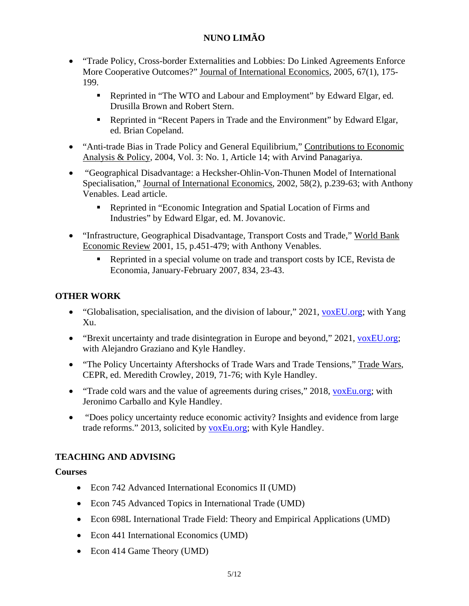- "Trade Policy, Cross-border Externalities and Lobbies: Do Linked Agreements Enforce More Cooperative Outcomes?" Journal of International Economics, 2005, 67(1), 175- 199.
	- Reprinted in "The WTO and Labour and Employment" by Edward Elgar, ed. Drusilla Brown and Robert Stern.
	- Reprinted in "Recent Papers in Trade and the Environment" by Edward Elgar, ed. Brian Copeland.
- "Anti-trade Bias in Trade Policy and General Equilibrium," Contributions to Economic Analysis & Policy, 2004, Vol. 3: No. 1, Article 14; with Arvind Panagariya.
- "Geographical Disadvantage: a Hecksher-Ohlin-Von-Thunen Model of International Specialisation," Journal of International Economics, 2002, 58(2), p.239-63; with Anthony Venables. Lead article.
	- Reprinted in "Economic Integration and Spatial Location of Firms and Industries" by Edward Elgar, ed. M. Jovanovic.
- "Infrastructure, Geographical Disadvantage, Transport Costs and Trade," World Bank Economic Review 2001, 15, p.451-479; with Anthony Venables.
	- Reprinted in a special volume on trade and transport costs by ICE, Revista de Economia, January-February 2007, 834, 23-43.

## **OTHER WORK**

- "Globalisation, specialisation, and the division of labour," 2021, [voxEU.org;](https://voxeu.org/article/globalisation-specialisation-and-division-labour) with Yang Xu.
- "Brexit uncertainty and trade disintegration in Europe and beyond," 2021, [voxEU.org;](https://voxeu.org/article/brexit-uncertainty-and-trade-disintegration-europe-and-beyond) with Alejandro Graziano and Kyle Handley.
- "The Policy Uncertainty Aftershocks of Trade Wars and Trade Tensions," Trade Wars, CEPR, ed. Meredith Crowley, 2019, 71-76; with Kyle Handley.
- "Trade cold wars and the value of agreements during crises," 2018, [voxEu.org;](https://voxeu.org/article/trade-cold-wars-and-value-agreements-during-crises) with Jeronimo Carballo and Kyle Handley.
- "Does policy uncertainty reduce economic activity? Insights and evidence from large trade reforms." 2013, solicited by [voxEu.org;](http://www.voxeu.org/article/does-policy-uncertainty-reduce-economic-activity) with Kyle Handley.

# **TEACHING AND ADVISING**

## **Courses**

- Econ 742 Advanced International Economics II (UMD)
- Econ 745 Advanced Topics in International Trade (UMD)
- Econ 698L International Trade Field: Theory and Empirical Applications (UMD)
- Econ 441 International Economics (UMD)
- Econ 414 Game Theory (UMD)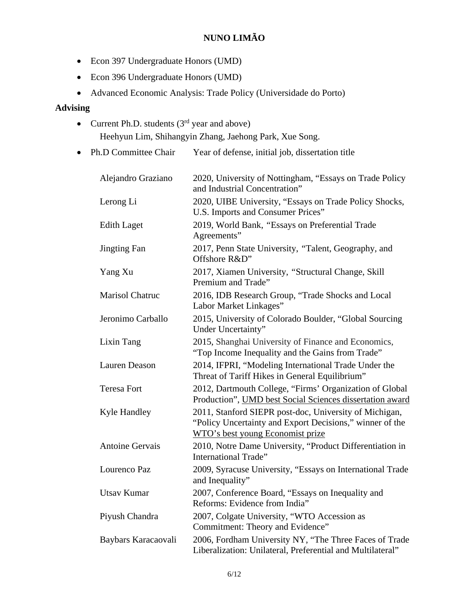- Econ 397 Undergraduate Honors (UMD)
- Econ 396 Undergraduate Honors (UMD)
- Advanced Economic Analysis: Trade Policy (Universidade do Porto)

## **Advising**

- Current Ph.D. students  $(3<sup>rd</sup>$  year and above) Heehyun Lim, Shihangyin Zhang, Jaehong Park, Xue Song.
- Ph.D Committee Chair Year of defense, initial job, dissertation title

| Alejandro Graziano     | 2020, University of Nottingham, "Essays on Trade Policy<br>and Industrial Concentration"                                                               |
|------------------------|--------------------------------------------------------------------------------------------------------------------------------------------------------|
| Lerong Li              | 2020, UIBE University, "Essays on Trade Policy Shocks,<br>U.S. Imports and Consumer Prices"                                                            |
| <b>Edith Laget</b>     | 2019, World Bank, "Essays on Preferential Trade<br>Agreements"                                                                                         |
| <b>Jingting Fan</b>    | 2017, Penn State University, "Talent, Geography, and<br>Offshore R&D"                                                                                  |
| Yang Xu                | 2017, Xiamen University, "Structural Change, Skill<br>Premium and Trade"                                                                               |
| Marisol Chatruc        | 2016, IDB Research Group, "Trade Shocks and Local<br>Labor Market Linkages"                                                                            |
| Jeronimo Carballo      | 2015, University of Colorado Boulder, "Global Sourcing<br>Under Uncertainty"                                                                           |
| Lixin Tang             | 2015, Shanghai University of Finance and Economics,<br>"Top Income Inequality and the Gains from Trade"                                                |
| Lauren Deason          | 2014, IFPRI, "Modeling International Trade Under the<br>Threat of Tariff Hikes in General Equilibrium"                                                 |
| <b>Teresa Fort</b>     | 2012, Dartmouth College, "Firms' Organization of Global<br>Production", UMD best Social Sciences dissertation award                                    |
| <b>Kyle Handley</b>    | 2011, Stanford SIEPR post-doc, University of Michigan,<br>"Policy Uncertainty and Export Decisions," winner of the<br>WTO's best young Economist prize |
| <b>Antoine Gervais</b> | 2010, Notre Dame University, "Product Differentiation in<br><b>International Trade"</b>                                                                |
| Lourenco Paz           | 2009, Syracuse University, "Essays on International Trade<br>and Inequality"                                                                           |
| <b>Utsav Kumar</b>     | 2007, Conference Board, "Essays on Inequality and<br>Reforms: Evidence from India"                                                                     |
| Piyush Chandra         | 2007, Colgate University, "WTO Accession as<br>Commitment: Theory and Evidence"                                                                        |
| Baybars Karacaovali    | 2006, Fordham University NY, "The Three Faces of Trade<br>Liberalization: Unilateral, Preferential and Multilateral"                                   |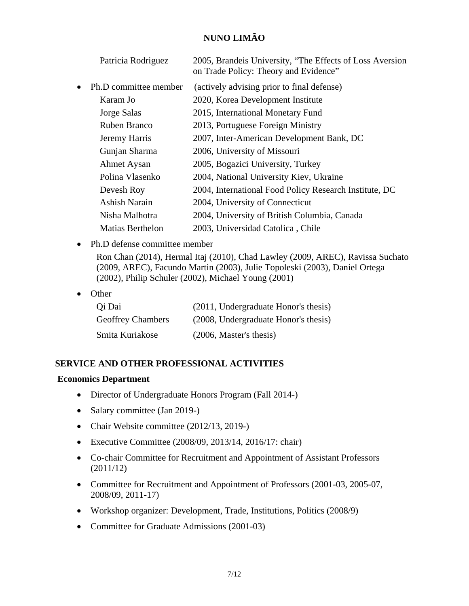|           | Patricia Rodriguez    | 2005, Brandeis University, "The Effects of Loss Aversion<br>on Trade Policy: Theory and Evidence" |
|-----------|-----------------------|---------------------------------------------------------------------------------------------------|
| $\bullet$ | Ph.D committee member | (actively advising prior to final defense)                                                        |
|           | Karam Jo              | 2020, Korea Development Institute                                                                 |
|           | Jorge Salas           | 2015, International Monetary Fund                                                                 |
|           | Ruben Branco          | 2013, Portuguese Foreign Ministry                                                                 |
|           | Jeremy Harris         | 2007, Inter-American Development Bank, DC                                                         |
|           | Gunjan Sharma         | 2006, University of Missouri                                                                      |
|           | <b>Ahmet Aysan</b>    | 2005, Bogazici University, Turkey                                                                 |
|           | Polina Vlasenko       | 2004, National University Kiev, Ukraine                                                           |
|           | Devesh Roy            | 2004, International Food Policy Research Institute, DC                                            |
|           | <b>Ashish Narain</b>  | 2004, University of Connecticut                                                                   |
|           | Nisha Malhotra        | 2004, University of British Columbia, Canada                                                      |
|           | Matias Berthelon      | 2003, Universidad Catolica, Chile                                                                 |

• Ph.D defense committee member

Ron Chan (2014), Hermal Itaj (2010), Chad Lawley (2009, AREC), Ravissa Suchato (2009, AREC), Facundo Martin (2003), Julie Topoleski (2003), Daniel Ortega (2002), Philip Schuler (2002), Michael Young (2001)

• Other

| Qi Dai                   | (2011, Undergraduate Honor's thesis) |
|--------------------------|--------------------------------------|
| <b>Geoffrey Chambers</b> | (2008, Undergraduate Honor's thesis) |
| Smita Kuriakose          | (2006, Master's thesis)              |

### **SERVICE AND OTHER PROFESSIONAL ACTIVITIES**

### **Economics Department**

- Director of Undergraduate Honors Program (Fall 2014-)
- Salary committee (Jan 2019-)
- Chair Website committee (2012/13, 2019-)
- Executive Committee (2008/09, 2013/14, 2016/17: chair)
- Co-chair Committee for Recruitment and Appointment of Assistant Professors (2011/12)
- Committee for Recruitment and Appointment of Professors (2001-03, 2005-07, 2008/09, 2011-17)
- Workshop organizer: Development, Trade, Institutions, Politics (2008/9)
- Committee for Graduate Admissions (2001-03)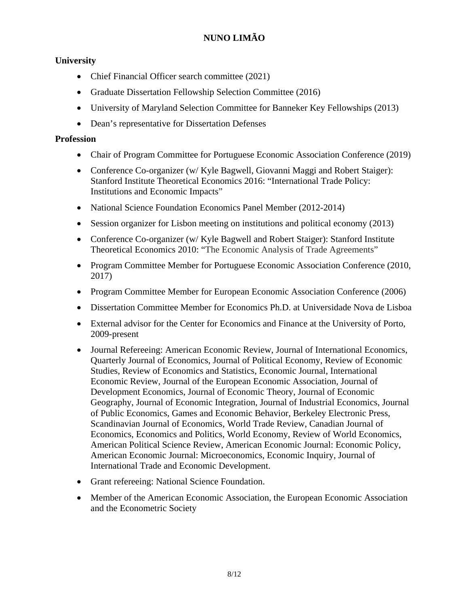### **University**

- Chief Financial Officer search committee (2021)
- Graduate Dissertation Fellowship Selection Committee (2016)
- University of Maryland Selection Committee for Banneker Key Fellowships (2013)
- Dean's representative for Dissertation Defenses

### **Profession**

- Chair of Program Committee for Portuguese Economic Association Conference (2019)
- Conference Co-organizer (w/ Kyle Bagwell, Giovanni Maggi and Robert Staiger): Stanford Institute Theoretical Economics 2016: "International Trade Policy: Institutions and Economic Impacts"
- National Science Foundation Economics Panel Member (2012-2014)
- Session organizer for Lisbon meeting on institutions and political economy (2013)
- Conference Co-organizer (w/ Kyle Bagwell and Robert Staiger): Stanford Institute Theoretical Economics 2010: "The Economic Analysis of Trade Agreements"
- Program Committee Member for Portuguese Economic Association Conference (2010, 2017)
- Program Committee Member for European Economic Association Conference (2006)
- Dissertation Committee Member for Economics Ph.D. at Universidade Nova de Lisboa
- External advisor for the Center for Economics and Finance at the University of Porto, 2009-present
- Journal Refereeing: American Economic Review, Journal of International Economics, Quarterly Journal of Economics, Journal of Political Economy, Review of Economic Studies, Review of Economics and Statistics, Economic Journal, International Economic Review, Journal of the European Economic Association, Journal of Development Economics, Journal of Economic Theory, Journal of Economic Geography, Journal of Economic Integration, Journal of Industrial Economics, Journal of Public Economics, Games and Economic Behavior, Berkeley Electronic Press, Scandinavian Journal of Economics, World Trade Review, Canadian Journal of Economics, Economics and Politics, World Economy, Review of World Economics, American Political Science Review, American Economic Journal: Economic Policy, American Economic Journal: Microeconomics, Economic Inquiry, Journal of International Trade and Economic Development.
- Grant refereeing: National Science Foundation.
- Member of the American Economic Association, the European Economic Association and the Econometric Society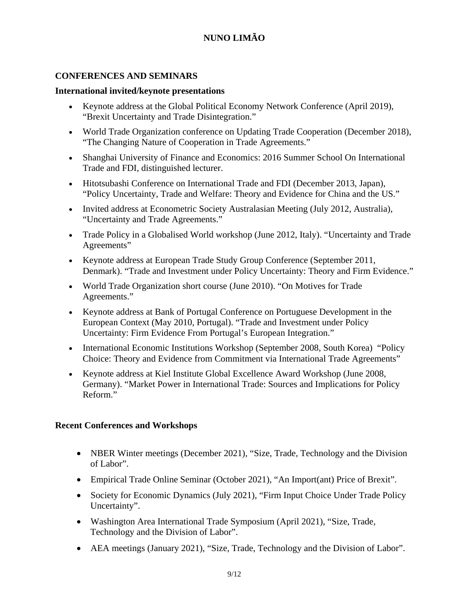### **CONFERENCES AND SEMINARS**

#### **International invited/keynote presentations**

- Keynote address at the Global Political Economy Network Conference (April 2019), ["Brexit Uncertainty and Trade Disintegration.](http://www.wam.umd.edu/%7Elimao/w25334.pdf)"
- World Trade Organization conference on Updating Trade Cooperation (December 2018), "The Changing Nature of Cooperation in Trade Agreements."
- Shanghai University of Finance and Economics: 2016 Summer School On International Trade and FDI, distinguished lecturer.
- Hitotsubashi Conference on International Trade and FDI (December 2013, Japan), "Policy Uncertainty, Trade and Welfare: Theory and Evidence for China and the US."
- Invited address at Econometric Society Australasian Meeting (July 2012, Australia), "Uncertainty and Trade Agreements."
- Trade Policy in a Globalised World workshop (June 2012, Italy). "Uncertainty and Trade Agreements"
- Keynote address at European Trade Study Group Conference (September 2011, Denmark). "Trade and Investment under Policy Uncertainty: Theory and Firm Evidence."
- World Trade Organization short course (June 2010). "On Motives for Trade Agreements."
- Keynote address at Bank of Portugal Conference on Portuguese Development in the European Context (May 2010, Portugal). "Trade and Investment under Policy Uncertainty: Firm Evidence From Portugal's European Integration."
- International Economic Institutions Workshop (September 2008, South Korea) "Policy Choice: Theory and Evidence from Commitment via International Trade Agreements"
- Keynote address at Kiel Institute Global Excellence Award Workshop (June 2008, Germany). "Market Power in International Trade: Sources and Implications for Policy Reform."

### **Recent Conferences and Workshops**

- NBER Winter meetings (December 2021), "Size, Trade, Technology and the Division of Labor".
- Empirical Trade Online Seminar (October 2021), "An Import(ant) Price of Brexit".
- Society for Economic Dynamics (July 2021), "Firm Input Choice Under Trade Policy Uncertainty".
- Washington Area International Trade Symposium (April 2021), "Size, Trade, Technology and the Division of Labor".
- AEA meetings (January 2021), "Size, Trade, Technology and the Division of Labor".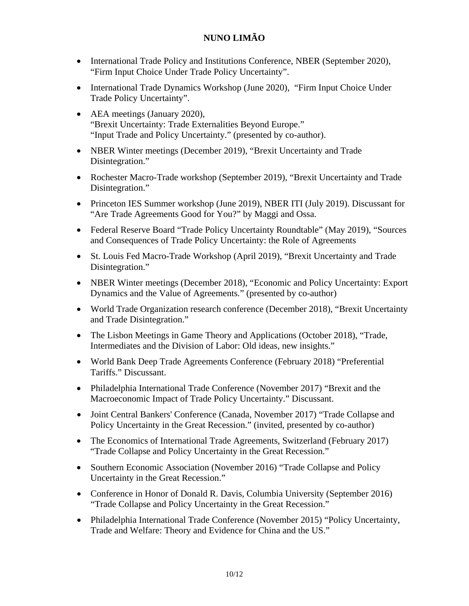- International Trade Policy and Institutions Conference, NBER (September 2020), "Firm Input Choice Under Trade Policy Uncertainty".
- International Trade Dynamics Workshop (June 2020), "Firm Input Choice Under Trade Policy Uncertainty".
- AEA meetings (January 2020), "Brexit Uncertainty: Trade Externalities Beyond Europe." "Input Trade and Policy Uncertainty." (presented by co-author).
- NBER Winter meetings (December 2019), "Brexit Uncertainty and Trade [Disintegration.](http://www.wam.umd.edu/%7Elimao/w25334.pdf)"
- Rochester Macro-Trade workshop (September 2019), ["Brexit Uncertainty and Trade](http://www.wam.umd.edu/%7Elimao/w25334.pdf)  [Disintegration.](http://www.wam.umd.edu/%7Elimao/w25334.pdf)"
- Princeton IES Summer workshop (June 2019), NBER ITI (July 2019). Discussant for "Are Trade Agreements Good for You?" by Maggi and Ossa.
- Federal Reserve Board "Trade Policy Uncertainty Roundtable" (May 2019), "Sources and Consequences of Trade Policy Uncertainty: the Role of Agreements
- St. Louis Fed Macro-Trade Workshop (April 2019), ["Brexit Uncertainty and Trade](http://www.wam.umd.edu/%7Elimao/w25334.pdf)  [Disintegration.](http://www.wam.umd.edu/%7Elimao/w25334.pdf)"
- NBER Winter meetings (December 2018), ["Economic and Policy Uncertainty: Export](http://www.wam.umd.edu/%7Elimao/w24368.pdf)  [Dynamics and the Value of Agreements](http://www.wam.umd.edu/%7Elimao/w24368.pdf)*.*" (presented by co-author)
- World Trade Organization research conference (December 2018), "Brexit Uncertainty [and Trade Disintegration.](http://www.wam.umd.edu/%7Elimao/w25334.pdf)"
- The Lisbon Meetings in Game Theory and Applications (October 2018), "Trade, Intermediates and the Division of Labor: Old ideas, new insights."
- World Bank Deep Trade Agreements Conference (February 2018) "Preferential Tariffs." Discussant.
- Philadelphia International Trade Conference (November 2017) "Brexit and the Macroeconomic Impact of Trade Policy Uncertainty." Discussant.
- Joint Central Bankers' Conference (Canada, November 2017) "Trade Collapse and Policy Uncertainty in the Great Recession." (invited, presented by co-author)
- The Economics of International Trade Agreements, Switzerland (February 2017) "Trade Collapse and Policy Uncertainty in the Great Recession."
- Southern Economic Association (November 2016) "Trade Collapse and Policy Uncertainty in the Great Recession."
- Conference in Honor of Donald R. Davis, Columbia University (September 2016) "Trade Collapse and Policy Uncertainty in the Great Recession."
- Philadelphia International Trade Conference (November 2015) "Policy Uncertainty, Trade and Welfare: Theory and Evidence for China and the US."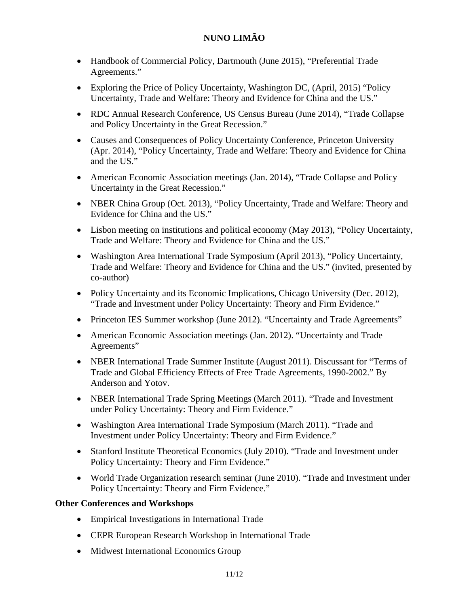- Handbook of Commercial Policy, Dartmouth (June 2015), "Preferential Trade Agreements."
- Exploring the Price of Policy Uncertainty, Washington DC, (April, 2015) "Policy Uncertainty, Trade and Welfare: Theory and Evidence for China and the US."
- RDC Annual Research Conference, US Census Bureau (June 2014), "Trade Collapse and Policy Uncertainty in the Great Recession."
- Causes and Consequences of Policy Uncertainty Conference, Princeton University (Apr. 2014), "Policy Uncertainty, Trade and Welfare: Theory and Evidence for China and the US."
- American Economic Association meetings (Jan. 2014), "Trade Collapse and Policy Uncertainty in the Great Recession."
- NBER China Group (Oct. 2013), "Policy Uncertainty, Trade and Welfare: Theory and Evidence for China and the US."
- Lisbon meeting on institutions and political economy (May 2013), "Policy Uncertainty, Trade and Welfare: Theory and Evidence for China and the US."
- Washington Area International Trade Symposium (April 2013), "Policy Uncertainty, Trade and Welfare: Theory and Evidence for China and the US." (invited, presented by co-author)
- Policy Uncertainty and its Economic Implications, Chicago University (Dec. 2012), "Trade and Investment under Policy Uncertainty: Theory and Firm Evidence."
- Princeton IES Summer workshop (June 2012). "Uncertainty and Trade Agreements"
- American Economic Association meetings (Jan. 2012). "Uncertainty and Trade Agreements"
- NBER International Trade Summer Institute (August 2011). Discussant for "Terms of Trade and Global Efficiency Effects of Free Trade Agreements, 1990-2002." By Anderson and Yotov.
- NBER International Trade Spring Meetings (March 2011). "Trade and Investment under Policy Uncertainty: Theory and Firm Evidence."
- Washington Area International Trade Symposium (March 2011). "Trade and Investment under Policy Uncertainty: Theory and Firm Evidence."
- Stanford Institute Theoretical Economics (July 2010). "Trade and Investment under Policy Uncertainty: Theory and Firm Evidence."
- World Trade Organization research seminar (June 2010). "Trade and Investment under Policy Uncertainty: Theory and Firm Evidence."

#### **Other Conferences and Workshops**

- Empirical Investigations in International Trade
- CEPR European Research Workshop in International Trade
- Midwest International Economics Group